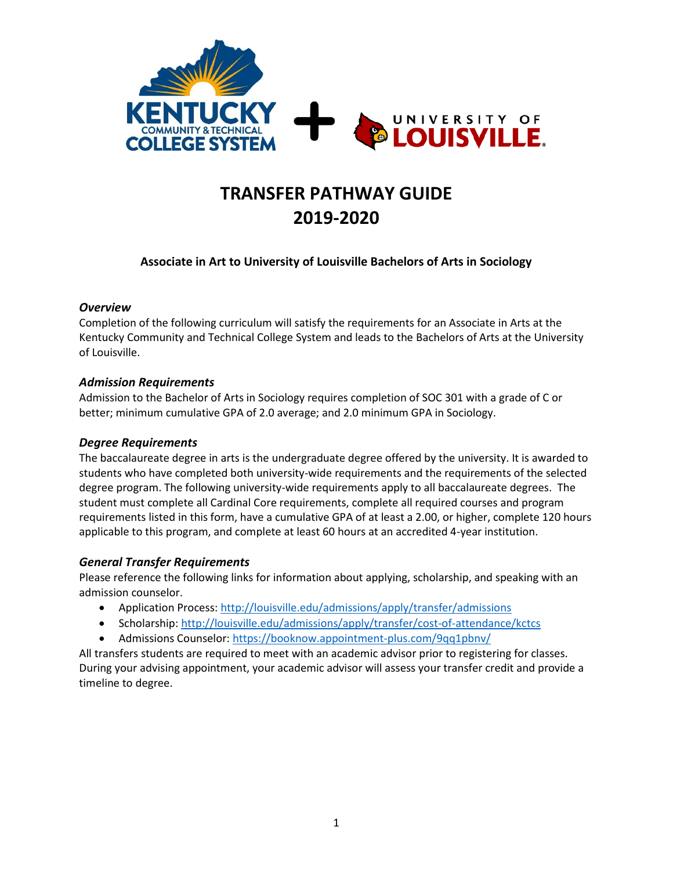

# **TRANSFER PATHWAY GUIDE 2019-2020**

# **Associate in Art to University of Louisville Bachelors of Arts in Sociology**

# *Overview*

Completion of the following curriculum will satisfy the requirements for an Associate in Arts at the Kentucky Community and Technical College System and leads to the Bachelors of Arts at the University of Louisville.

# *Admission Requirements*

Admission to the Bachelor of Arts in Sociology requires completion of SOC 301 with a grade of C or better; minimum cumulative GPA of 2.0 average; and 2.0 minimum GPA in Sociology.

### *Degree Requirements*

The baccalaureate degree in arts is the undergraduate degree offered by the university. It is awarded to students who have completed both university-wide requirements and the requirements of the selected degree program. The following university-wide requirements apply to all baccalaureate degrees. The student must complete all Cardinal Core requirements, complete all required courses and program requirements listed in this form, have a cumulative GPA of at least a 2.00, or higher, complete 120 hours applicable to this program, and complete at least 60 hours at an accredited 4-year institution.

### *General Transfer Requirements*

Please reference the following links for information about applying, scholarship, and speaking with an admission counselor.

- Application Process[: http://louisville.edu/admissions/apply/transfer/admissions](http://louisville.edu/admissions/apply/transfer/admissions)
- Scholarship[: http://louisville.edu/admissions/apply/transfer/cost-of-attendance/kctcs](http://louisville.edu/admissions/apply/transfer/cost-of-attendance/kctcs)
- Admissions Counselor[: https://booknow.appointment-plus.com/9qq1pbnv/](https://booknow.appointment-plus.com/9qq1pbnv/)

All transfers students are required to meet with an academic advisor prior to registering for classes. During your advising appointment, your academic advisor will assess your transfer credit and provide a timeline to degree.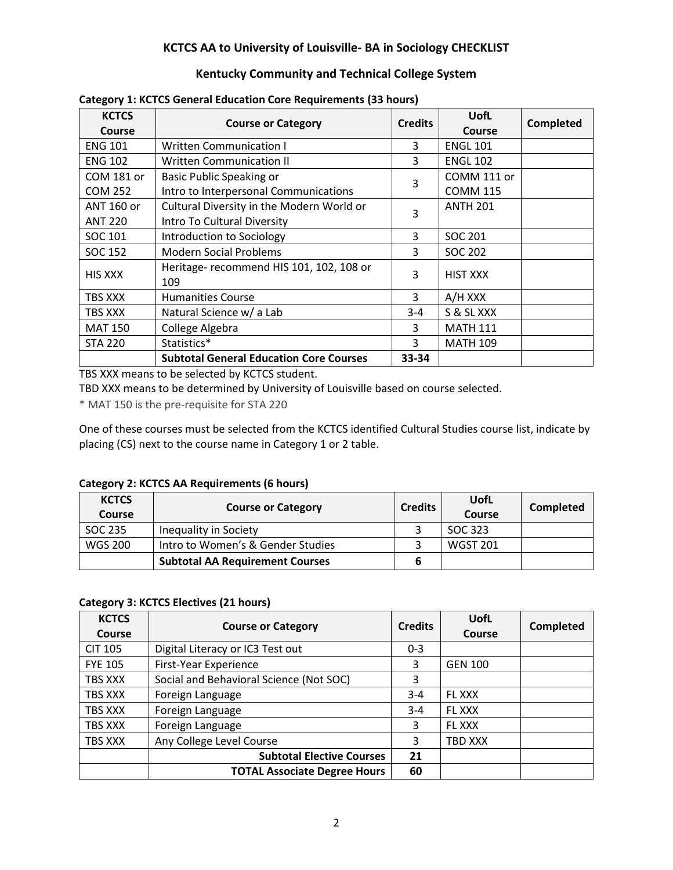# **KCTCS AA to University of Louisville- BA in Sociology CHECKLIST**

# **Kentucky Community and Technical College System**

| <b>KCTCS</b><br><b>Course</b> | <b>Course or Category</b>                       | <b>Credits</b> | <b>UofL</b><br>Course | Completed |
|-------------------------------|-------------------------------------------------|----------------|-----------------------|-----------|
| <b>ENG 101</b>                | <b>Written Communication I</b>                  | 3              | <b>ENGL 101</b>       |           |
| <b>ENG 102</b>                | <b>Written Communication II</b>                 | 3              | <b>ENGL 102</b>       |           |
| COM 181 or                    | <b>Basic Public Speaking or</b>                 | 3              | COMM 111 or           |           |
| <b>COM 252</b>                | Intro to Interpersonal Communications           |                | <b>COMM 115</b>       |           |
| ANT 160 or                    | Cultural Diversity in the Modern World or       | 3              | <b>ANTH 201</b>       |           |
| <b>ANT 220</b>                | Intro To Cultural Diversity                     |                |                       |           |
| SOC 101                       | Introduction to Sociology                       | 3              | SOC 201               |           |
| SOC 152                       | <b>Modern Social Problems</b>                   | 3              | SOC 202               |           |
| <b>HIS XXX</b>                | Heritage- recommend HIS 101, 102, 108 or<br>109 | 3              | <b>HIST XXX</b>       |           |
| TBS XXX                       | <b>Humanities Course</b>                        | 3              | A/H XXX               |           |
| TBS XXX                       | Natural Science w/ a Lab                        | $3 - 4$        | S & SL XXX            |           |
| <b>MAT 150</b>                | College Algebra                                 | 3              | <b>MATH 111</b>       |           |
| <b>STA 220</b>                | Statistics*                                     | 3              | <b>MATH 109</b>       |           |
|                               | <b>Subtotal General Education Core Courses</b>  | 33-34          |                       |           |

#### **Category 1: KCTCS General Education Core Requirements (33 hours)**

TBS XXX means to be selected by KCTCS student.

TBD XXX means to be determined by University of Louisville based on course selected.

\* MAT 150 is the pre-requisite for STA 220

One of these courses must be selected from the KCTCS identified Cultural Studies course list, indicate by placing (CS) next to the course name in Category 1 or 2 table.

#### **Category 2: KCTCS AA Requirements (6 hours)**

| <b>KCTCS</b><br><b>Course</b> | <b>Course or Category</b>              | <b>Credits</b> | UofL<br><b>Course</b> | Completed |
|-------------------------------|----------------------------------------|----------------|-----------------------|-----------|
| SOC 235                       | Inequality in Society                  |                | SOC 323               |           |
| <b>WGS 200</b>                | Intro to Women's & Gender Studies      |                | <b>WGST 201</b>       |           |
|                               | <b>Subtotal AA Requirement Courses</b> |                |                       |           |

# **Category 3: KCTCS Electives (21 hours)**

| <b>KCTCS</b><br>Course | <b>Course or Category</b>               | <b>Credits</b> | UofL<br>Course | <b>Completed</b> |
|------------------------|-----------------------------------------|----------------|----------------|------------------|
| <b>CIT 105</b>         | Digital Literacy or IC3 Test out        | $0 - 3$        |                |                  |
| <b>FYE 105</b>         | First-Year Experience                   | 3              | <b>GEN 100</b> |                  |
| TBS XXX                | Social and Behavioral Science (Not SOC) | 3              |                |                  |
| TBS XXX                | Foreign Language                        | $3 - 4$        | <b>FL XXX</b>  |                  |
| TBS XXX                | Foreign Language                        | $3 - 4$        | FL XXX         |                  |
| TBS XXX                | Foreign Language                        | 3              | FL XXX         |                  |
| TBS XXX                | Any College Level Course                | 3              | TBD XXX        |                  |
|                        | <b>Subtotal Elective Courses</b>        | 21             |                |                  |
|                        | <b>TOTAL Associate Degree Hours</b>     | 60             |                |                  |